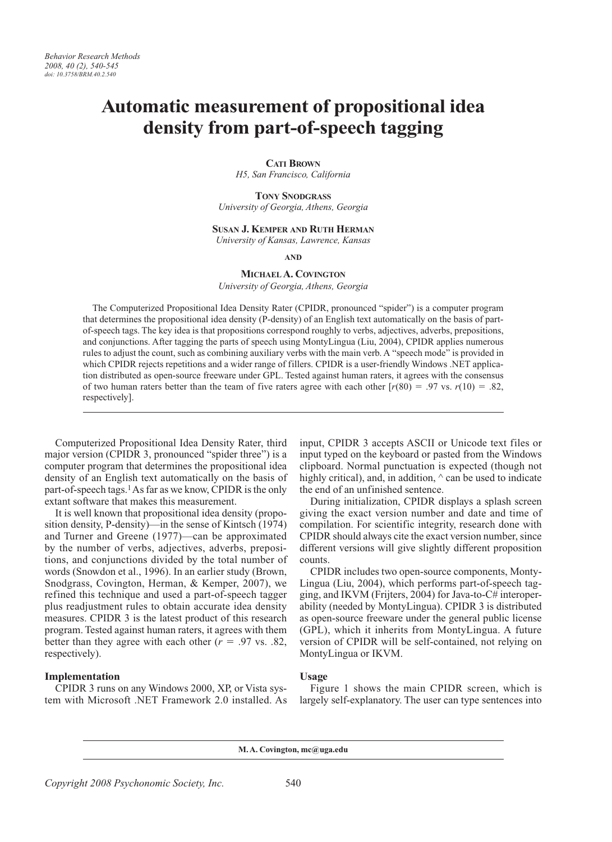# **Automatic measurement of propositional idea density from part-of-speech tagging**

**CATI BROWN** 

*H5, San Francisco, California*

**Tony Snodgrass** *University of Georgia, Athens, Georgia*

**Susan J. Kemper and Ruth Herman** *University of Kansas, Lawrence, Kansas*

**and**

## **MichaelA. Covington**

*University of Georgia, Athens, Georgia*

The Computerized Propositional Idea Density Rater (CPIDR, pronounced "spider") is a computer program that determines the propositional idea density (P-density) of an English text automatically on the basis of partof-speech tags. The key idea is that propositions correspond roughly to verbs, adjectives, adverbs, prepositions, and conjunctions. After tagging the parts of speech using MontyLingua (Liu, 2004), CPIDR applies numerous rules to adjust the count, such as combining auxiliary verbs with the main verb. A "speech mode" is provided in which CPIDR rejects repetitions and a wider range of fillers. CPIDR is a user-friendly Windows .NET application distributed as open-source freeware under GPL. Tested against human raters, it agrees with the consensus of two human raters better than the team of five raters agree with each other  $[r(80) = .97 \text{ vs. } r(10) = .82$ , respectively].

Computerized Propositional Idea Density Rater, third major version (CPIDR 3, pronounced "spider three") is a computer program that determines the propositional idea density of an English text automatically on the basis of part-of-speech tags.1 As far as we know, CPIDR is the only extant software that makes this measurement.

It is well known that propositional idea density (proposition density, P-density)—in the sense of Kintsch (1974) and Turner and Greene (1977)—can be approximated by the number of verbs, adjectives, adverbs, prepositions, and conjunctions divided by the total number of words (Snowdon et al., 1996). In an earlier study (Brown, Snodgrass, Covington, Herman, & Kemper, 2007), we refined this technique and used a part-of-speech tagger plus readjustment rules to obtain accurate idea density measures. CPIDR 3 is the latest product of this research program. Tested against human raters, it agrees with them better than they agree with each other  $(r = .97 \text{ vs. } .82)$ , respectively).

# **Implementation**

CPIDR 3 runs on any Windows 2000, XP, or Vista system with Microsoft .NET Framework 2.0 installed. As input, CPIDR 3 accepts ASCII or Unicode text files or input typed on the keyboard or pasted from the Windows clipboard. Normal punctuation is expected (though not highly critical), and, in addition,  $\land$  can be used to indicate the end of an unfinished sentence.

During initialization, CPIDR displays a splash screen giving the exact version number and date and time of compilation. For scientific integrity, research done with CPIDR should always cite the exact version number, since different versions will give slightly different proposition counts.

CPIDR includes two open-source components, Monty-Lingua (Liu, 2004), which performs part-of-speech tagging, and IKVM (Frijters, 2004) for Java-to-C# interoperability (needed by MontyLingua). CPIDR 3 is distributed as open-source freeware under the general public license (GPL), which it inherits from MontyLingua. A future version of CPIDR will be self-contained, not relying on MontyLingua or IKVM.

## **Usage**

Figure 1 shows the main CPIDR screen, which is largely self-explanatory. The user can type sentences into

**M. A. Covington, mc@uga.edu**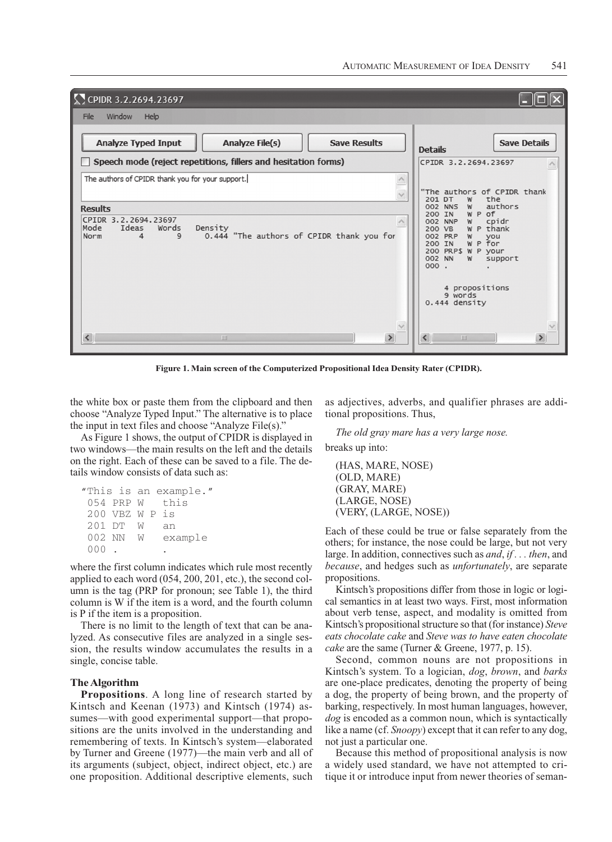| CPIDR 3.2.2694.23697                                                                                                                                                                           |                                                                                                                                                                                                                                                              |
|------------------------------------------------------------------------------------------------------------------------------------------------------------------------------------------------|--------------------------------------------------------------------------------------------------------------------------------------------------------------------------------------------------------------------------------------------------------------|
| Window<br>File<br>Help                                                                                                                                                                         |                                                                                                                                                                                                                                                              |
| Analyze File(s)<br>Analyze Typed Input<br><b>Save Results</b>                                                                                                                                  | <b>Save Details</b><br><b>Details</b>                                                                                                                                                                                                                        |
| Speech mode (reject repetitions, fillers and hesitation forms)                                                                                                                                 | CPIDR 3.2.2694.23697                                                                                                                                                                                                                                         |
| The authors of CPIDR thank you for your support.<br><b>Results</b><br>CPIDR 3.2.2694.23697<br>Mode<br>Ideas<br>Density<br>Words<br>0.444 "The authors of CPIDR thank you for<br>Norm<br>9<br>4 | "The authors of CPIDR thank<br>the<br>201 DT<br>W<br>002 NNS<br>authors<br>W<br>W P of<br>200 IN<br>002 NNP<br>cpidr<br>W<br>W P thank<br>200 VB<br>PRP<br>002<br>W<br>you<br>W P for<br>200 IN<br>200 PRP\$ W P your<br>002 NN<br>support<br>w<br>000.<br>٠ |
| $\checkmark$<br>$\rightarrow$<br>Ш.                                                                                                                                                            | 4 propositions<br>9 words<br>0.444 density<br>$\mathbb{H}$                                                                                                                                                                                                   |

**Figure 1. Main screen of the Computerized Propositional Idea Density Rater (CPIDR).**

the white box or paste them from the clipboard and then choose "Analyze Typed Input." The alternative is to place the input in text files and choose "Analyze File(s)."

As Figure 1 shows, the output of CPIDR is displayed in two windows—the main results on the left and the details on the right. Each of these can be saved to a file. The details window consists of data such as:

```
"This is an example."
054 PRP W this
200 VBZ W P is
201 DT W an
002 NN W example
000 .
```
where the first column indicates which rule most recently applied to each word (054, 200, 201, etc.), the second column is the tag (PRP for pronoun; see Table 1), the third column is W if the item is a word, and the fourth column is P if the item is a proposition.

There is no limit to the length of text that can be analyzed. As consecutive files are analyzed in a single session, the results window accumulates the results in a single, concise table.

# **The Algorithm**

**Propositions**. A long line of research started by Kintsch and Keenan (1973) and Kintsch (1974) assumes—with good experimental support—that propositions are the units involved in the understanding and remembering of texts. In Kintsch's system—elaborated by Turner and Greene (1977)—the main verb and all of its arguments (subject, object, indirect object, etc.) are one proposition. Additional descriptive elements, such as adjectives, adverbs, and qualifier phrases are additional propositions. Thus,

*The old gray mare has a very large nose.*

breaks up into:

(HAS, MARE, NOSE) (OLD, MARE) (GRAY, MARE) (LARGE, NOSE) (VERY, (LARGE, NOSE))

Each of these could be true or false separately from the others; for instance, the nose could be large, but not very large. In addition, connectives such as *and*, *if . . . then*, and *because*, and hedges such as *unfortunately*, are separate propositions.

Kintsch's propositions differ from those in logic or logical semantics in at least two ways. First, most information about verb tense, aspect, and modality is omitted from Kintsch's propositional structure so that (for instance) *Steve eats chocolate cake* and *Steve was to have eaten chocolate cake* are the same (Turner & Greene, 1977, p. 15).

Second, common nouns are not propositions in Kintsch's system. To a logician, *dog*, *brown*, and *barks* are one-place predicates, denoting the property of being a dog, the property of being brown, and the property of barking, respectively. In most human languages, however, *dog* is encoded as a common noun, which is syntactically like a name (cf. *Snoopy*) except that it can refer to any dog, not just a particular one.

Because this method of propositional analysis is now a widely used standard, we have not attempted to critique it or introduce input from newer theories of seman-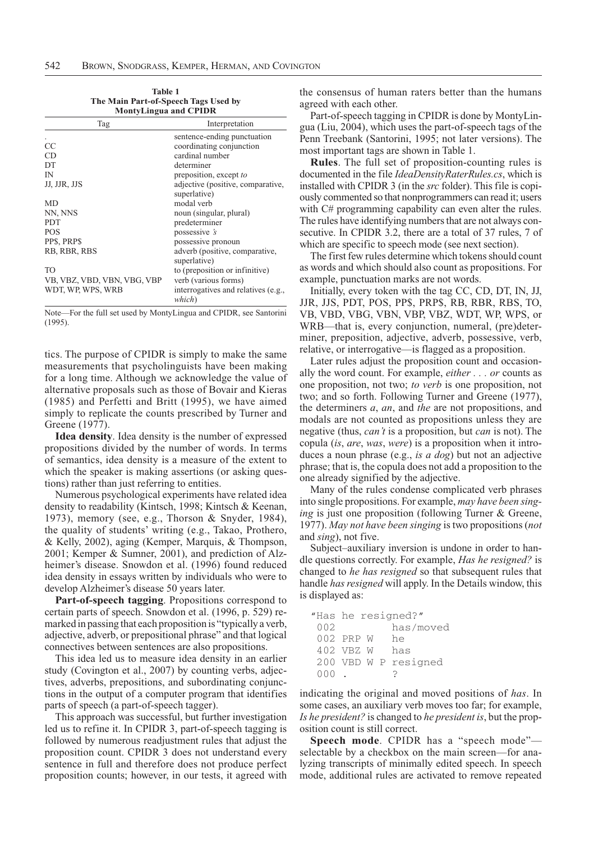| <b>Table 1</b><br>The Main Part-of-Speech Tags Used by<br><b>MontyLingua and CPIDR</b> |                                                                                                                                                                         |  |  |  |
|----------------------------------------------------------------------------------------|-------------------------------------------------------------------------------------------------------------------------------------------------------------------------|--|--|--|
| Tag                                                                                    | Interpretation                                                                                                                                                          |  |  |  |
| CC<br>CD<br>DT<br>IN<br>JJ, JJR, JJS                                                   | sentence-ending punctuation<br>coordinating conjunction<br>cardinal number<br>determiner<br>preposition, except to<br>adjective (positive, comparative,<br>superlative) |  |  |  |
| MD                                                                                     | modal verb                                                                                                                                                              |  |  |  |
| NN, NNS                                                                                | noun (singular, plural)                                                                                                                                                 |  |  |  |
| <b>PDT</b>                                                                             | predeterminer                                                                                                                                                           |  |  |  |
| <b>POS</b>                                                                             | possessive 's                                                                                                                                                           |  |  |  |
| PPS, PRPS                                                                              | possessive pronoun                                                                                                                                                      |  |  |  |
| RB, RBR, RBS                                                                           | adverb (positive, comparative,<br>superlative)                                                                                                                          |  |  |  |
| T <sub>O</sub>                                                                         | to (preposition or infinitive)                                                                                                                                          |  |  |  |
| VB, VBZ, VBD, VBN, VBG, VBP                                                            | verb (various forms)                                                                                                                                                    |  |  |  |
| WDT, WP, WPS, WRB                                                                      | interrogatives and relatives (e.g.,<br>which)                                                                                                                           |  |  |  |

Note—For the full set used by MontyLingua and CPIDR, see Santorini (1995).

tics. The purpose of CPIDR is simply to make the same measurements that psycholinguists have been making for a long time. Although we acknowledge the value of alternative proposals such as those of Bovair and Kieras (1985) and Perfetti and Britt (1995), we have aimed simply to replicate the counts prescribed by Turner and Greene (1977).

**Idea density**. Idea density is the number of expressed propositions divided by the number of words. In terms of semantics, idea density is a measure of the extent to which the speaker is making assertions (or asking questions) rather than just referring to entities.

Numerous psychological experiments have related idea density to readability (Kintsch, 1998; Kintsch & Keenan, 1973), memory (see, e.g., Thorson & Snyder, 1984), the quality of students' writing (e.g., Takao, Prothero, & Kelly, 2002), aging (Kemper, Marquis, & Thompson, 2001; Kemper & Sumner, 2001), and prediction of Alzheimer's disease. Snowdon et al. (1996) found reduced idea density in essays written by individuals who were to develop Alzheimer's disease 50 years later.

**Part-of-speech tagging**. Propositions correspond to certain parts of speech. Snowdon et al. (1996, p. 529) remarked in passing that each proposition is "typically a verb, adjective, adverb, or prepositional phrase" and that logical connectives between sentences are also propositions.

This idea led us to measure idea density in an earlier study (Covington et al., 2007) by counting verbs, adjectives, adverbs, prepositions, and subordinating conjunctions in the output of a computer program that identifies parts of speech (a part-of-speech tagger).

This approach was successful, but further investigation led us to refine it. In CPIDR 3, part-of-speech tagging is followed by numerous readjustment rules that adjust the proposition count. CPIDR 3 does not understand every sentence in full and therefore does not produce perfect proposition counts; however, in our tests, it agreed with the consensus of human raters better than the humans agreed with each other.

Part-of-speech tagging in CPIDR is done by MontyLingua (Liu, 2004), which uses the part-of-speech tags of the Penn Treebank (Santorini, 1995; not later versions). The most important tags are shown in Table 1.

**Rules**. The full set of proposition-counting rules is documented in the file *IdeaDensityRaterRules.cs*, which is installed with CPIDR 3 (in the *src* folder). This file is copiously commented so that nonprogrammers can read it; users with C# programming capability can even alter the rules. The rules have identifying numbers that are not always consecutive. In CPIDR 3.2, there are a total of 37 rules, 7 of which are specific to speech mode (see next section).

The first few rules determine which tokens should count as words and which should also count as propositions. For example, punctuation marks are not words.

Initially, every token with the tag CC, CD, DT, IN, JJ, JJR, JJS, PDT, POS, PP\$, PRP\$, RB, RBR, RBS, TO, VB, VBD, VBG, VBN, VBP, VBZ, WDT, WP, WPS, or WRB—that is, every conjunction, numeral, (pre)determiner, preposition, adjective, adverb, possessive, verb, relative, or interrogative—is flagged as a proposition.

Later rules adjust the proposition count and occasionally the word count. For example, *either . . . or* counts as one proposition, not two; *to verb* is one proposition, not two; and so forth. Following Turner and Greene (1977), the determiners *a*, *an*, and *the* are not propositions, and modals are not counted as propositions unless they are negative (thus, *can't* is a proposition, but *can* is not). The copula (*is*, *are*, *was*, *were*) is a proposition when it introduces a noun phrase (e.g., *is a dog*) but not an adjective phrase; that is, the copula does not add a proposition to the one already signified by the adjective.

Many of the rules condense complicated verb phrases into single propositions. For example, *may have been singing* is just one proposition (following Turner & Greene, 1977). *May not have been singing* is two propositions (*not* and *sing*), not five.

Subject–auxiliary inversion is undone in order to handle questions correctly. For example, *Has he resigned?* is changed to *he has resigned* so that subsequent rules that handle *has resigned* will apply. In the Details window, this is displayed as:

|             |           |  | "Has he resigned?"   |
|-------------|-----------|--|----------------------|
| 002         |           |  | has/moved            |
|             | 002 PRP W |  | he                   |
|             | 402 VBZ W |  | has                  |
|             |           |  | 200 VBD W P resigned |
| ( ) ( ) ( ) |           |  | ر.                   |

indicating the original and moved positions of *has*. In some cases, an auxiliary verb moves too far; for example, *Is he president?* is changed to *he president is*, but the proposition count is still correct.

**Speech mode**. CPIDR has a "speech mode" selectable by a checkbox on the main screen—for analyzing transcripts of minimally edited speech. In speech mode, additional rules are activated to remove repeated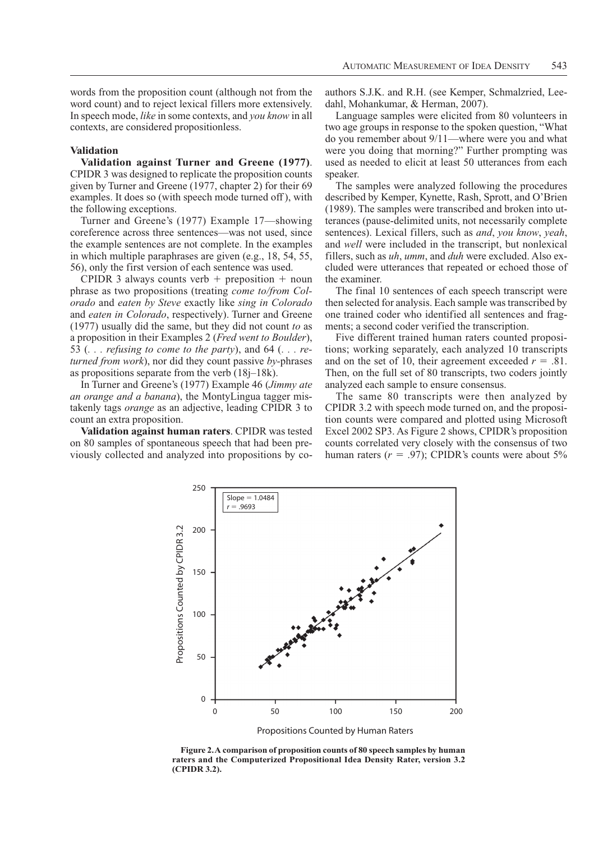words from the proposition count (although not from the word count) and to reject lexical fillers more extensively. In speech mode, *like* in some contexts, and *you know* in all contexts, are considered propositionless.

#### **Validation**

**Validation against Turner and Greene (1977)**. CPIDR 3 was designed to replicate the proposition counts given by Turner and Greene (1977, chapter 2) for their 69 examples. It does so (with speech mode turned off ), with the following exceptions.

Turner and Greene's (1977) Example 17—showing coreference across three sentences—was not used, since the example sentences are not complete. In the examples in which multiple paraphrases are given (e.g., 18, 54, 55, 56), only the first version of each sentence was used.

CPIDR 3 always counts verb  $+$  preposition  $+$  noun phrase as two propositions (treating *come to/from Colorado* and *eaten by Steve* exactly like *sing in Colorado* and *eaten in Colorado*, respectively). Turner and Greene (1977) usually did the same, but they did not count *to* as a proposition in their Examples 2 (*Fred went to Boulder*), 53 (*. . . refusing to come to the party*), and 64 (*. . . returned from work*), nor did they count passive *by-*phrases as propositions separate from the verb (18j–18k).

In Turner and Greene's (1977) Example 46 (*Jimmy ate an orange and a banana*), the MontyLingua tagger mistakenly tags *orange* as an adjective, leading CPIDR 3 to count an extra proposition.

**Validation against human raters**. CPIDR was tested on 80 samples of spontaneous speech that had been previously collected and analyzed into propositions by coauthors S.J.K. and R.H. (see Kemper, Schmalzried, Leedahl, Mohankumar, & Herman, 2007).

Language samples were elicited from 80 volunteers in two age groups in response to the spoken question, "What do you remember about 9/11—where were you and what were you doing that morning?" Further prompting was used as needed to elicit at least 50 utterances from each speaker.

The samples were analyzed following the procedures described by Kemper, Kynette, Rash, Sprott, and O'Brien (1989). The samples were transcribed and broken into utterances (pause-delimited units, not necessarily complete sentences). Lexical fillers, such as *and*, *you know*, *yeah*, and *well* were included in the transcript, but nonlexical fillers, such as *uh*, *umm*, and *duh* were excluded. Also excluded were utterances that repeated or echoed those of the examiner.

The final 10 sentences of each speech transcript were then selected for analysis. Each sample was transcribed by one trained coder who identified all sentences and fragments; a second coder verified the transcription.

Five different trained human raters counted propositions; working separately, each analyzed 10 transcripts and on the set of 10, their agreement exceeded  $r = .81$ . Then, on the full set of 80 transcripts, two coders jointly analyzed each sample to ensure consensus.

The same 80 transcripts were then analyzed by CPIDR 3.2 with speech mode turned on, and the proposition counts were compared and plotted using Microsoft Excel 2002 SP3. As Figure 2 shows, CPIDR's proposition counts correlated very closely with the consensus of two human raters  $(r = .97)$ ; CPIDR's counts were about 5%



**Figure 2. A comparison of proposition counts of 80 speech samples by human raters and the Computerized Propositional Idea Density Rater, version 3.2**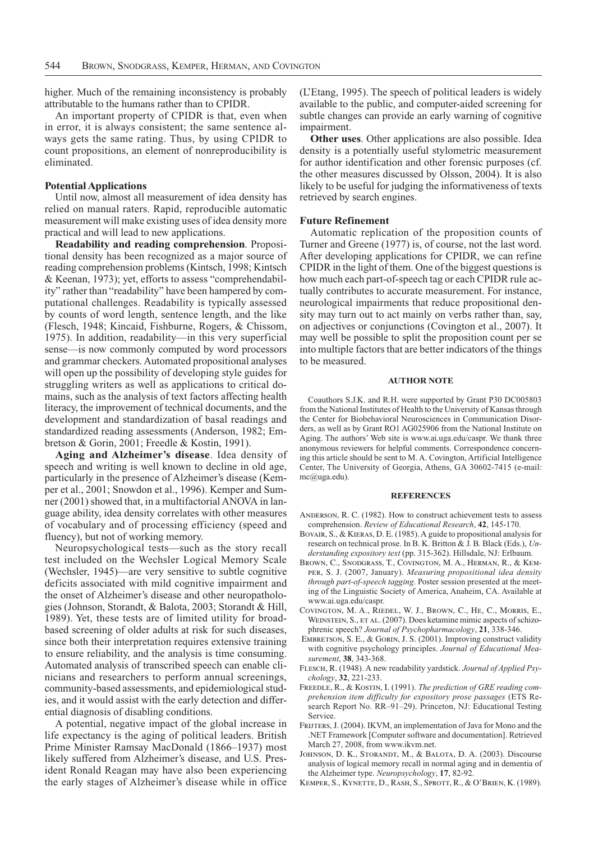higher. Much of the remaining inconsistency is probably attributable to the humans rather than to CPIDR.

An important property of CPIDR is that, even when in error, it is always consistent; the same sentence always gets the same rating. Thus, by using CPIDR to count propositions, an element of nonreproducibility is eliminated.

### **Potential Applications**

Until now, almost all measurement of idea density has relied on manual raters. Rapid, reproducible automatic measurement will make existing uses of idea density more practical and will lead to new applications.

**Readability and reading comprehension**. Propositional density has been recognized as a major source of reading comprehension problems (Kintsch, 1998; Kintsch & Keenan, 1973); yet, efforts to assess "comprehendability" rather than "readability" have been hampered by computational challenges. Readability is typically assessed by counts of word length, sentence length, and the like (Flesch, 1948; Kincaid, Fishburne, Rogers, & Chissom, 1975). In addition, readability—in this very superficial sense—is now commonly computed by word processors and grammar checkers. Automated propositional analyses will open up the possibility of developing style guides for struggling writers as well as applications to critical domains, such as the analysis of text factors affecting health literacy, the improvement of technical documents, and the development and standardization of basal readings and standardized reading assessments (Anderson, 1982; Embretson & Gorin, 2001; Freedle & Kostin, 1991).

**Aging and Alzheimer's disease**. Idea density of speech and writing is well known to decline in old age, particularly in the presence of Alzheimer's disease (Kemper et al., 2001; Snowdon et al., 1996). Kemper and Sumner (2001) showed that, in a multifactorial ANOVA in language ability, idea density correlates with other measures of vocabulary and of processing efficiency (speed and fluency), but not of working memory.

Neuropsychological tests—such as the story recall test included on the Wechsler Logical Memory Scale (Wechsler, 1945)—are very sensitive to subtle cognitive deficits associated with mild cognitive impairment and the onset of Alzheimer's disease and other neuropathologies (Johnson, Storandt, & Balota, 2003; Storandt & Hill, 1989). Yet, these tests are of limited utility for broadbased screening of older adults at risk for such diseases, since both their interpretation requires extensive training to ensure reliability, and the analysis is time consuming. Automated analysis of transcribed speech can enable clinicians and researchers to perform annual screenings, community-based assessments, and epidemiological studies, and it would assist with the early detection and differential diagnosis of disabling conditions.

A potential, negative impact of the global increase in life expectancy is the aging of political leaders. British Prime Minister Ramsay MacDonald (1866–1937) most likely suffered from Alzheimer's disease, and U.S. President Ronald Reagan may have also been experiencing the early stages of Alzheimer's disease while in office (L'Etang, 1995). The speech of political leaders is widely available to the public, and computer-aided screening for subtle changes can provide an early warning of cognitive impairment.

**Other uses**. Other applications are also possible. Idea density is a potentially useful stylometric measurement for author identification and other forensic purposes (cf. the other measures discussed by Olsson, 2004). It is also likely to be useful for judging the informativeness of texts retrieved by search engines.

#### **Future Refinement**

Automatic replication of the proposition counts of Turner and Greene (1977) is, of course, not the last word. After developing applications for CPIDR, we can refine CPIDR in the light of them. One of the biggest questions is how much each part-of-speech tag or each CPIDR rule actually contributes to accurate measurement. For instance, neurological impairments that reduce propositional density may turn out to act mainly on verbs rather than, say, on adjectives or conjunctions (Covington et al., 2007). It may well be possible to split the proposition count per se into multiple factors that are better indicators of the things to be measured.

#### **Author Note**

Coauthors S.J.K. and R.H. were supported by Grant P30 DC005803 from the National Institutes of Health to the University of Kansas through the Center for Biobehavioral Neurosciences in Communication Disorders, as well as by Grant RO1 AG025906 from the National Institute on Aging. The authors' Web site is www.ai.uga.edu/caspr. We thank three anonymous reviewers for helpful comments. Correspondence concerning this article should be sent to M. A. Covington, Artificial Intelligence Center, The University of Georgia, Athens, GA 30602-7415 (e-mail: mc@uga.edu).

#### **References**

- Anderson, R. C. (1982). How to construct achievement tests to assess comprehension. *Review of Educational Research*, **42**, 145-170.
- Bovair, S., & Kieras, D. E. (1985). A guide to propositional analysis for research on technical prose. In B. K. Britton & J. B. Black (Eds.), *Understanding expository text* (pp. 315-362). Hillsdale, NJ: Erlbaum.
- Brown, C., Snodgrass, T., Covington, M. A., Herman, R., & Kemper, S. J. (2007, January). *Measuring propositional idea density through part-of-speech tagging*. Poster session presented at the meeting of the Linguistic Society of America, Anaheim, CA. Available at www.ai.uga.edu/caspr.
- Covington, M. A., Riedel, W. J., Brown, C., He, C., Morris, E., WEINSTEIN, S., ET AL. (2007). Does ketamine mimic aspects of schizophrenic speech? *Journal of Psychopharmacology*, **21**, 338-346.
- EMBRETSON, S. E., & GORIN, J. S. (2001). Improving construct validity with cognitive psychology principles. *Journal of Educational Measurement*, **38**, 343-368.
- Flesch, R. (1948). A new readability yardstick. *Journal of Applied Psychology*, **32**, 221-233.
- Freedle, R., & Kostin, I. (1991). *The prediction of GRE reading comprehension item difficulty for expository prose passages* (ETS Research Report No. RR–91–29). Princeton, NJ: Educational Testing Service.
- FRIJTERS, J. (2004). IKVM, an implementation of Java for Mono and the .NET Framework [Computer software and documentation]. Retrieved March 27, 2008, from www.ikvm.net.
- Johnson, D. K., Storandt, M., & Balota, D. A. (2003). Discourse analysis of logical memory recall in normal aging and in dementia of the Alzheimer type. *Neuropsychology*, **17**, 82-92.
- Kemper, S., Kynette, D., Rash, S., Sprott, R., & O'Brien, K. (1989).